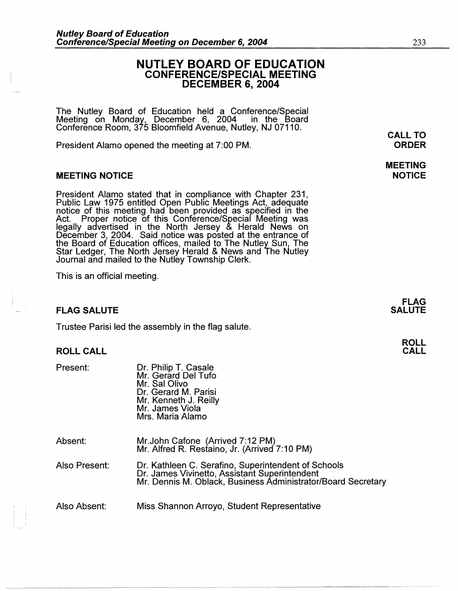# **NUTLEY BOARD OF EDUCATION CONFERENCE/SPECIAL MEETING DECEMBER 6, 2004**

The Nutley Board of Education held a Conference/Special Meeting on Monday, December 6, 2004 in the Board Conference Room, 375 Bloomfield Avenue, Nutley, NJ 07110.

President Alamo opened the meeting at 7:00 PM.

## **MEETING NOTICE**

President Alamo stated that in compliance with Chapter 231, Public Law 1975 entitled Open Public Meetings Act, adequate notice of this meeting had been provided as specified in the Act. Proper notice of this Conference/Special Meeting was legally advertised in the North Jersey & Herald News on December 3, 2004. Said notice was posted at the entrance of the Board of Education offices, mailed to The Nutley Sun, The Star Ledger, The North Jersey Herald & News and The Nutley Journal and mailed to the Nutley Township Clerk.

This is an official meeting.

## **FLAG SALUTE**

Trustee Parisi led the assembly in the flag salute.

#### **ROLL CALL**

Present:

Dr. Philip T. Casale Mr. Gerard Del Tufo Mr. Sal Olivo Dr. Gerard M. Parisi Mr. Kenneth J. Reilly Mr. James Viola Mrs. Maria Alamo

| Absent: | Mr. John Cafone (Arrived 7:12 PM)             |
|---------|-----------------------------------------------|
|         | Mr. Alfred R. Restaino, Jr. (Arrived 7:10 PM) |

Also Present: Dr. Kathleen C. Serafino, Superintendent of Schools Dr. James Vivinetto, Assistant Superintendent Mr. Dennis M. Oblack, Business Administrator/Board Secretary

Also Absent: Miss Shannon Arroyo, Student Representative

**MEETING NOTICE** 

233

**ROLL CALL**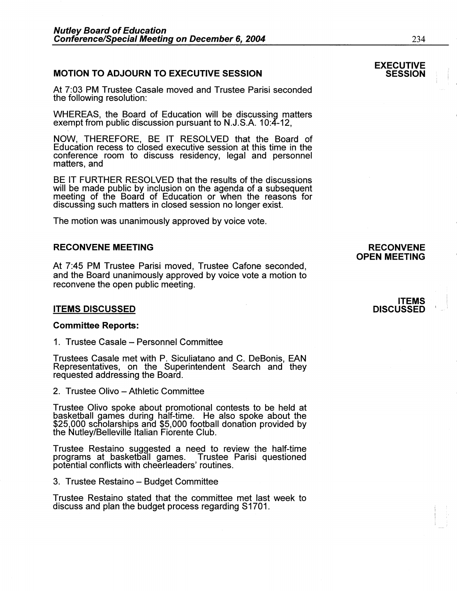## **MOTION TO ADJOURN TO EXECUTIVE SESSION**

At 7:03 PM Trustee Casale moved and Trustee Parisi seconded the following resolution:

WHEREAS, the Board of Education will be discussing matters exempt from public discussion pursuant to N.J.S.A. 10:4-12,

**NOW,** THEREFORE, BE IT RESOLVED that the Board of Education recess to closed executive session at this time in the conference room to discuss residency, legal and personnel matters, and

BE IT FURTHER RESOLVED that the results of the discussions will be made public by inclusion on the agenda of a subsequent meeting of the Boara of Education or when the reasons for discussing such matters in closed session no longer exist.

The motion was unanimously approved by voice vote.

# **RECONVENE MEETING**

At 7:45 PM Trustee Parisi moved, Trustee Catone seconded, and the Board unanimously approved by voice vote a motion to reconvene the open public meeting.

## **ITEMS DISCUSSED**

#### **Committee Reports:**

1. Trustee Casale - Personnel Committee

Trustees Casale met with P. Siculiatano and C. DeBonis, EAN Representatives, on the Superintendent Search and they requested addressing the Board.

2. Trustee Olivo - Athletic Committee

Trustee Olivo spoke about promotional contests to be held at basketball games during half-time. He also spoke about the \$25,000 scholarships and \$5,000 football donation provided by the Nutley/Belleville Italian Fiorente Club.

Trustee Restaino suggested a need to review the half-time programs at basketball games. Trustee Parisi questioned potential conflicts with cheerleaders' routines.

3. Trustee Restaino – Budget Committee

Trustee Restaino stated that the committee met last week to discuss and plan the budget process regarding S1701.

## **RECONVENE OPEN MEETING**

## **ITEMS DISCUSSED** I

#### **EXECUTIVE SESSION**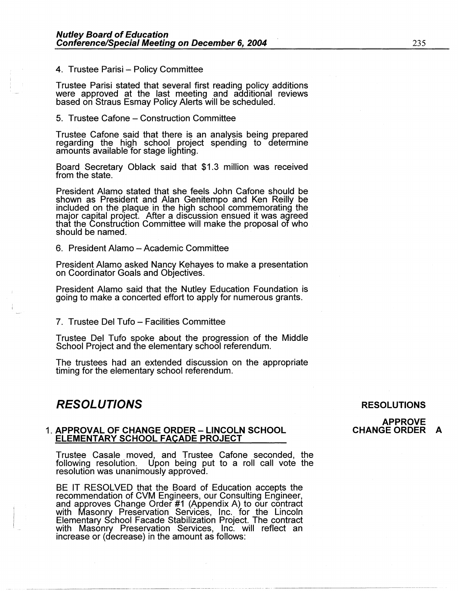#### 4. Trustee Parisi - Policy Committee

Trustee Parisi stated that several first reading policy additions were approved at the last meeting and additional reviews based on Straus Esmay Policy Alerts will be scheduled.

5. Trustee Cafone - Construction Committee

Trustee Cafone said that there is an analysis being prepared regarding the high school project spending to determine amounts available for stage lighting.

Board Secretary Oblack said that \$1.3 million was received from the state.

President Alamo stated that she feels John Catone should be shown as President and Alan Genitempo and Ken Reilly be included on the plaque in the high school commemorating the major capital project. After a discussion ensued it was agreed that the Construction Committee will make the proposal of who should be named.

6. President Alamo - Academic Committee

President Alamo asked Nancy Kehayes to make a presentation on Coordinator Goals and Objectives.

President Alamo said that the Nutley Education Foundation is going to make a concerted effort to apply for numerous grants.

7. Trustee Del Tufo – Facilities Committee

Trustee Del Tufo spoke about the progression of the Middle School Project and the elementary school referendum.

The trustees had an extended discussion on the appropriate timing for the elementary school referendum.

# **RESOLUTIONS**

#### **RESOLUTIONS**

**APPROVE CHANGE ORDER A** 

## 1. **APPROVAL OF CHANGE ORDER - LINCOLN SCHOOL ELEMENTARY SCHOOL FACADE PROJECT**

Trustee Casale moved, and Trustee Catone seconded, the following resolution. Upon being put to a roll call vote the resolution was unanimously approved.

BE IT RESOLVED that the Board of Education accepts the recommendation of CVM Engineers, our Consulting Engineer, and approves Change Order #1 (Appendix A) to our contract with Masonry Preservation Services, Inc. for the Lincoln Elementary School Facade Stabilization Project. The contract with Masonry Preservation Services, Inc. will reflect an increase or (decrease) in the amount as follows: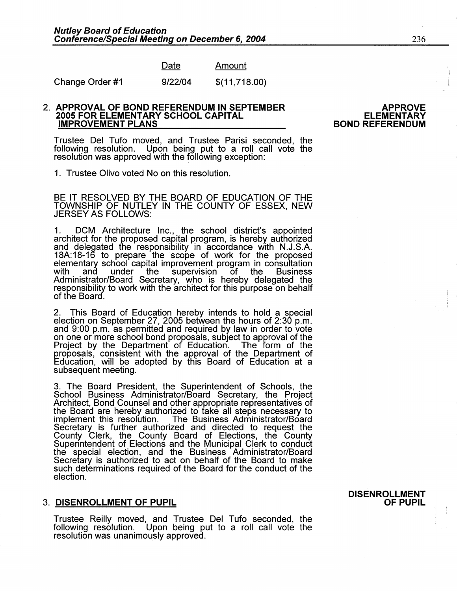| )ate | Amount |
|------|--------|
|      |        |

Change Order #1 9/22/04 \$(11,718.00)

### 2. **APPROVAL OF BOND REFERENDUM IN SEPTEMBER 2005 FOR ELEMENTARY SCHOOL CAPITAL IMPROVEMENT PLANS**

Trustee Del Tufo moved, and Trustee Parisi seconded, the following resolution. Upon being put to a roll call vote the resolution was approved with the following exception:

1. Trustee Olivo voted No on this resolution.

BE IT RESOLVED BY THE BOARD OF EDUCATION OF THE TOWNSHIP OF NUTLEY IN THE COUNTY OF ESSEX, NEW JERSEY AS FOLLOWS:

1. DCM Architecture Inc., the school district's appointed architect for the proposed capital program, is hereby authorized and delegated the responsibility in accordance with N.J.S.A. 18A: 18-16 to prepare the scope of work for the proposed elementary school capital improvement program in consultation with and under the supervision of the Business with and under the supervision of the Business<br>Administrator/Board Secretary, who is hereby delegated the responsibility to work with the architect for this purpose on behalf of the Boara.

2. This Board of Education hereby intends to hold a special election on September 27, 2005 between the hours of 2:30 p.m. and 9:00 p.m. as permitted and required by law in order to vote on one or more school bond proposals, subJect to approval of the Project by the Department of Education. The form of the proposals, consistent with the approval of the Department of Education, will be adopted by this Board of Education at a subsequent meeting.

3. The Board President, the Superintendent of Schools, the School Business Administrator/Board Secretary, the Project Architect, Bond Counsel and other appropriate representatives of the Board are hereby authorized to take all steps necessary to implement this resolution. The Business Administrator/Board The Business Administrator/Board Secretary is further authorized and directed to request the County Clerk, the County Board of Elections, the County Superintendent of Elections and the Municipal Clerk to conduct the special election, and the Business Administrator/Board Secretary is authorized to act on behalf of the Board to make such determinations required of the Board for the conduct of the election.

## 3. **DISENROLLMENT OF PUPIL**

Trustee Reilly moved, and Trustee Del Tufo seconded, the following resolution. Upon being put to a roll call vote the resolution was unanimously approvea.

**DISENROLLMENT OF PUPIL** 

**APPROVE ELEMENTARY** 

**BOND REFERENDUM**